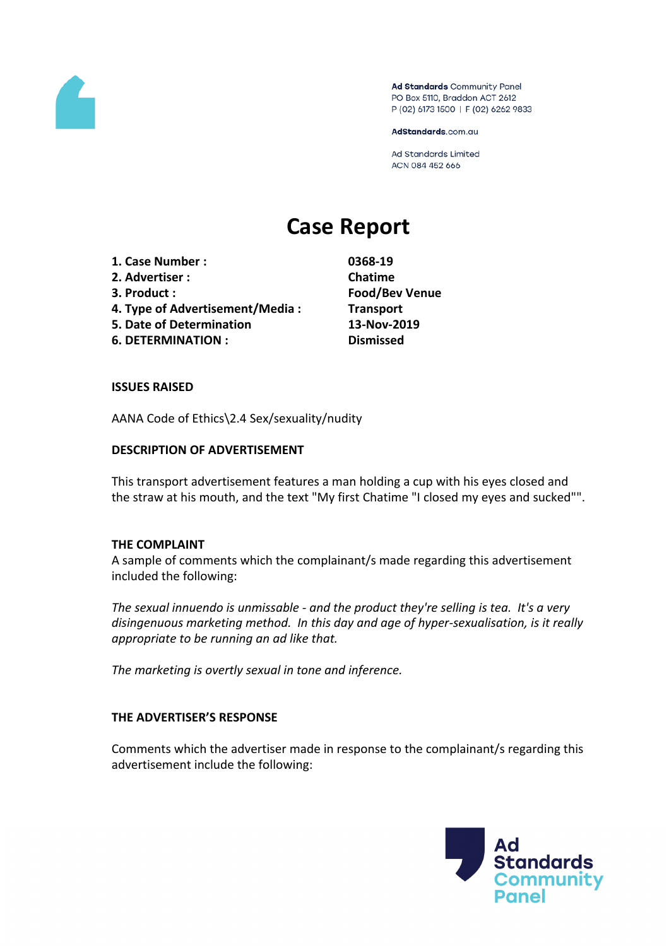

Ad Standards Community Panel PO Box 5110, Braddon ACT 2612 P (02) 6173 1500 | F (02) 6262 9833

AdStandards.com.au

Ad Standards Limited ACN 084 452 666

# **Case Report**

- **1. Case Number : 0368-19**
- **2. Advertiser : Chatime**
- 
- **4. Type of Advertisement/Media : Transport**
- **5. Date of Determination 13-Nov-2019**
- **6. DETERMINATION : Dismissed**

**3. Product : Food/Bev Venue**

### **ISSUES RAISED**

AANA Code of Ethics\2.4 Sex/sexuality/nudity

# **DESCRIPTION OF ADVERTISEMENT**

This transport advertisement features a man holding a cup with his eyes closed and the straw at his mouth, and the text "My first Chatime "I closed my eyes and sucked"".

### **THE COMPLAINT**

A sample of comments which the complainant/s made regarding this advertisement included the following:

*The sexual innuendo is unmissable - and the product they're selling is tea. It's a very disingenuous marketing method. In this day and age of hyper-sexualisation, is it really appropriate to be running an ad like that.*

*The marketing is overtly sexual in tone and inference.*

### **THE ADVERTISER'S RESPONSE**

Comments which the advertiser made in response to the complainant/s regarding this advertisement include the following:

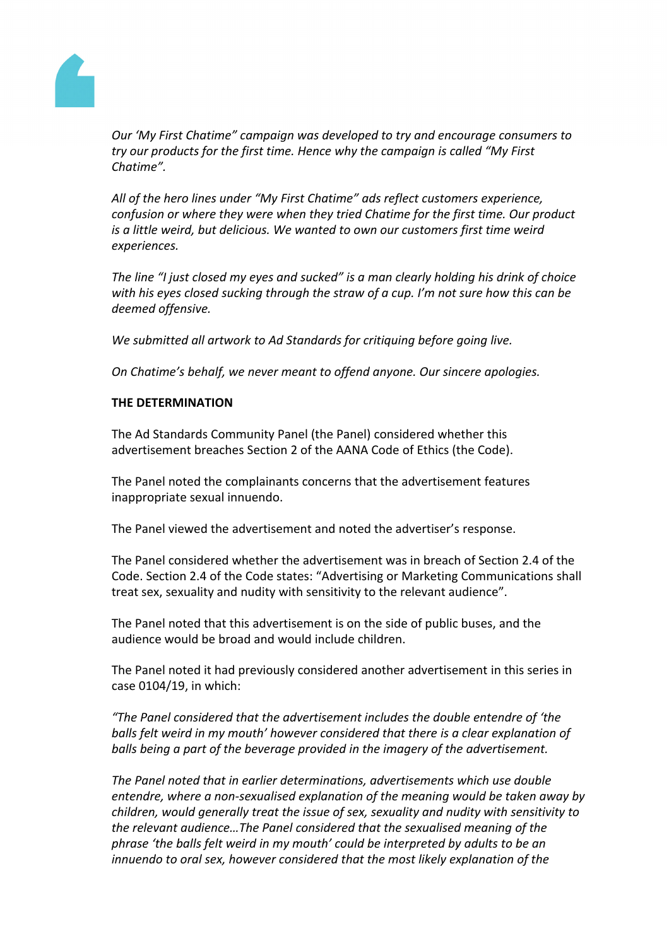

*Our 'My First Chatime" campaign was developed to try and encourage consumers to try our products for the first time. Hence why the campaign is called "My First Chatime".*

*All of the hero lines under "My First Chatime" ads reflect customers experience, confusion or where they were when they tried Chatime for the first time. Our product is a little weird, but delicious. We wanted to own our customers first time weird experiences.*

*The line "I just closed my eyes and sucked" is a man clearly holding his drink of choice with his eyes closed sucking through the straw of a cup. I'm not sure how this can be deemed offensive.*

*We submitted all artwork to Ad Standards for critiquing before going live.*

*On Chatime's behalf, we never meant to offend anyone. Our sincere apologies.*

# **THE DETERMINATION**

The Ad Standards Community Panel (the Panel) considered whether this advertisement breaches Section 2 of the AANA Code of Ethics (the Code).

The Panel noted the complainants concerns that the advertisement features inappropriate sexual innuendo.

The Panel viewed the advertisement and noted the advertiser's response.

The Panel considered whether the advertisement was in breach of Section 2.4 of the Code. Section 2.4 of the Code states: "Advertising or Marketing Communications shall treat sex, sexuality and nudity with sensitivity to the relevant audience".

The Panel noted that this advertisement is on the side of public buses, and the audience would be broad and would include children.

The Panel noted it had previously considered another advertisement in this series in case 0104/19, in which:

*"The Panel considered that the advertisement includes the double entendre of 'the balls felt weird in my mouth' however considered that there is a clear explanation of balls being a part of the beverage provided in the imagery of the advertisement.*

*The Panel noted that in earlier determinations, advertisements which use double entendre, where a non-sexualised explanation of the meaning would be taken away by children, would generally treat the issue of sex, sexuality and nudity with sensitivity to the relevant audience…The Panel considered that the sexualised meaning of the phrase 'the balls felt weird in my mouth' could be interpreted by adults to be an innuendo to oral sex, however considered that the most likely explanation of the*